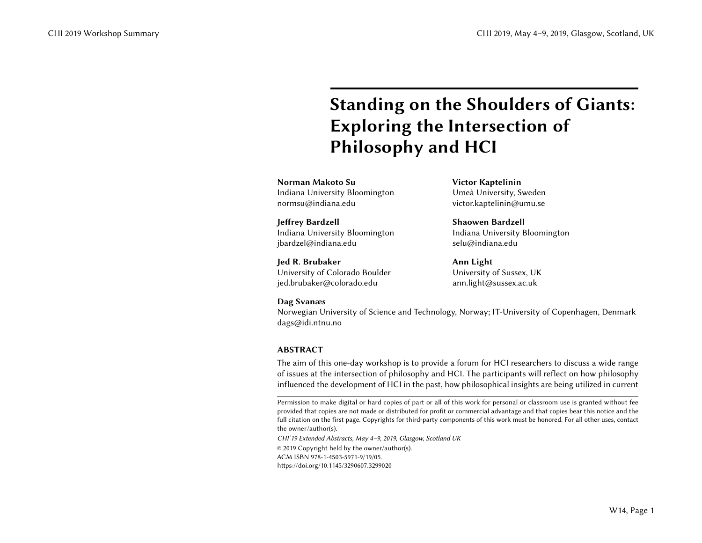# Standing on the Shoulders of Giants: Exploring the Intersection of Philosophy and HCI

Norman Makoto Su Indiana University Bloomington normsu@indiana.edu

Jeffrey Bardzell Indiana University Bloomington jbardzel@indiana.edu

Jed R. Brubaker University of Colorado Boulder jed.brubaker@colorado.edu

Victor Kaptelinin Umeå University, Sweden victor.kaptelinin@umu.se

Shaowen Bardzell Indiana University Bloomington selu@indiana.edu

Ann Light University of Sussex, UK ann.light@sussex.ac.uk

#### Dag Svanæs

Norwegian University of Science and Technology, Norway; IT-University of Copenhagen, Denmark dags@idi.ntnu.no

# ABSTRACT

The aim of this one-day workshop is to provide a forum for HCI researchers to discuss a wide range of issues at the intersection of philosophy and HCI. The participants will reflect on how philosophy influenced the development of HCI in the past, how philosophical insights are being utilized in current

CHI'19 Extended Abstracts, May 4–9, 2019, Glasgow, Scotland UK

© 2019 Copyright held by the owner/author(s).

ACM ISBN 978-1-4503-5971-9/19/05.

<https://doi.org/10.1145/3290607.3299020>

Permission to make digital or hard copies of part or all of this work for personal or classroom use is granted without fee provided that copies are not made or distributed for profit or commercial advantage and that copies bear this notice and the full citation on the first page. Copyrights for third-party components of this work must be honored. For all other uses, contact the owner/author(s).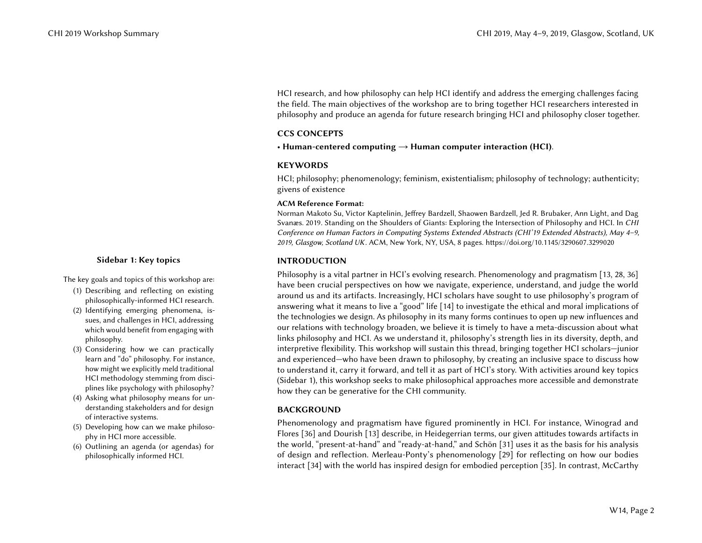HCI research, and how philosophy can help HCI identify and address the emerging challenges facing the field. The main objectives of the workshop are to bring together HCI researchers interested in philosophy and produce an agenda for future research bringing HCI and philosophy closer together.

#### CCS CONCEPTS

• Human-centered computing  $\rightarrow$  Human computer interaction (HCI).

### **KEYWORDS**

HCI; philosophy; phenomenology; feminism, existentialism; philosophy of technology; authenticity; givens of existence

#### ACM Reference Format:

Norman Makoto Su, Victor Kaptelinin, Jeffrey Bardzell, Shaowen Bardzell, Jed R. Brubaker, Ann Light, and Dag Svanæs. 2019. Standing on the Shoulders of Giants: Exploring the Intersection of Philosophy and HCI. In CHI Conference on Human Factors in Computing Systems Extended Abstracts (CHI'19 Extended Abstracts), May 4–9, 2019, Glasgow, Scotland UK. ACM, New York, NY, USA, [8](#page-7-0) pages.<https://doi.org/10.1145/3290607.3299020>

# <span id="page-1-0"></span>INTRODUCTION

Philosophy is a vital partner in HCI's evolving research. Phenomenology and pragmatism [\[13,](#page-6-0) [28,](#page-7-1) [36\]](#page-7-2) have been crucial perspectives on how we navigate, experience, understand, and judge the world around us and its artifacts. Increasingly, HCI scholars have sought to use philosophy's program of answering what it means to live a "good" life [\[14\]](#page-6-1) to investigate the ethical and moral implications of the technologies we design. As philosophy in its many forms continues to open up new influences and our relations with technology broaden, we believe it is timely to have a meta-discussion about what links philosophy and HCI. As we understand it, philosophy's strength lies in its diversity, depth, and interpretive flexibility. This workshop will sustain this thread, bringing together HCI scholars—junior and experienced—who have been drawn to philosophy, by creating an inclusive space to discuss how to understand it, carry it forward, and tell it as part of HCI's story. With activities around key topics (Sidebar [1\)](#page-1-0), this workshop seeks to make philosophical approaches more accessible and demonstrate how they can be generative for the CHI community.

# BACKGROUND

Phenomenology and pragmatism have figured prominently in HCI. For instance, Winograd and Flores [\[36\]](#page-7-2) and Dourish [\[13\]](#page-6-0) describe, in Heidegerrian terms, our given attitudes towards artifacts in the world, "present-at-hand" and "ready-at-hand," and Schön [\[31\]](#page-7-3) uses it as the basis for his analysis of design and reflection. Merleau-Ponty's phenomenology [\[29\]](#page-7-4) for reflecting on how our bodies interact [\[34\]](#page-7-5) with the world has inspired design for embodied perception [\[35\]](#page-7-6). In contrast, McCarthy

# Sidebar 1: Key topics

The key goals and topics of this workshop are:

- (1) Describing and reflecting on existing philosophically-informed HCI research.
- (2) Identifying emerging phenomena, issues, and challenges in HCI, addressing which would benefit from engaging with philosophy.
- (3) Considering how we can practically learn and "do" philosophy. For instance, how might we explicitly meld traditional HCI methodology stemming from disciplines like psychology with philosophy?
- (4) Asking what philosophy means for understanding stakeholders and for design of interactive systems.
- (5) Developing how can we make philosophy in HCI more accessible.
- (6) Outlining an agenda (or agendas) for philosophically informed HCI.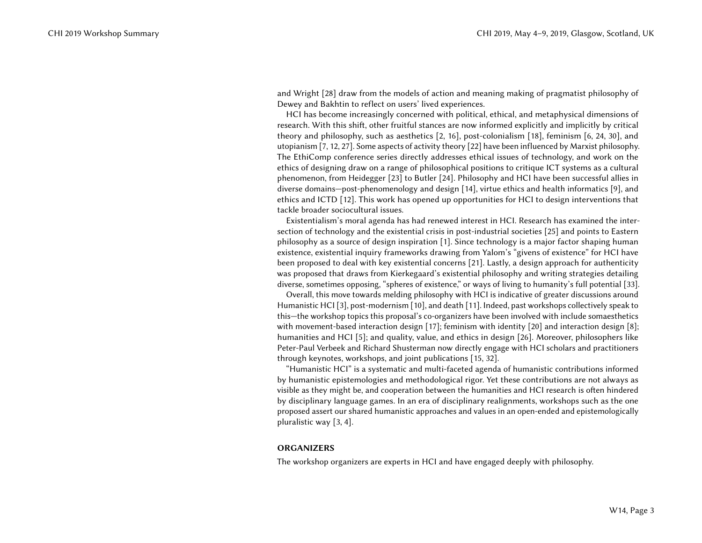and Wright [\[28\]](#page-7-1) draw from the models of action and meaning making of pragmatist philosophy of Dewey and Bakhtin to reflect on users' lived experiences.

HCI has become increasingly concerned with political, ethical, and metaphysical dimensions of research. With this shift, other fruitful stances are now informed explicitly and implicitly by critical theory and philosophy, such as aesthetics [\[2,](#page-6-2) [16\]](#page-7-7), post-colonialism [\[18\]](#page-7-8), feminism [\[6,](#page-6-3) [24,](#page-7-9) [30\]](#page-7-10), and utopianism [\[7,](#page-6-4) [12,](#page-6-5) [27\]](#page-7-11). Some aspects of activity theory [\[22\]](#page-7-12) have been influenced by Marxist philosophy. The EthiComp conference series directly addresses ethical issues of technology, and work on the ethics of designing draw on a range of philosophical positions to critique ICT systems as a cultural phenomenon, from Heidegger [\[23\]](#page-7-13) to Butler [\[24\]](#page-7-9). Philosophy and HCI have been successful allies in diverse domains—post-phenomenology and design [\[14\]](#page-6-1), virtue ethics and health informatics [\[9\]](#page-6-6), and ethics and ICTD [\[12\]](#page-6-5). This work has opened up opportunities for HCI to design interventions that tackle broader sociocultural issues.

Existentialism's moral agenda has had renewed interest in HCI. Research has examined the intersection of technology and the existential crisis in post-industrial societies [\[25\]](#page-7-14) and points to Eastern philosophy as a source of design inspiration [\[1\]](#page-6-7). Since technology is a major factor shaping human existence, existential inquiry frameworks drawing from Yalom's "givens of existence" for HCI have been proposed to deal with key existential concerns [\[21\]](#page-7-15). Lastly, a design approach for authenticity was proposed that draws from Kierkegaard's existential philosophy and writing strategies detailing diverse, sometimes opposing, "spheres of existence," or ways of living to humanity's full potential [\[33\]](#page-7-16).

Overall, this move towards melding philosophy with HCI is indicative of greater discussions around Humanistic HCI [\[3\]](#page-6-8), post-modernism [\[10\]](#page-6-9), and death [\[11\]](#page-6-10). Indeed, past workshops collectively speak to this—the workshop topics this proposal's co-organizers have been involved with include somaesthetics with movement-based interaction design [\[17\]](#page-7-17); feminism with identity [\[20\]](#page-7-18) and interaction design [\[8\]](#page-6-11); humanities and HCI [\[5\]](#page-6-12); and quality, value, and ethics in design [\[26\]](#page-7-19). Moreover, philosophers like Peter-Paul Verbeek and Richard Shusterman now directly engage with HCI scholars and practitioners through keynotes, workshops, and joint publications [\[15,](#page-6-13) [32\]](#page-7-20).

"Humanistic HCI" is a systematic and multi-faceted agenda of humanistic contributions informed by humanistic epistemologies and methodological rigor. Yet these contributions are not always as visible as they might be, and cooperation between the humanities and HCI research is often hindered by disciplinary language games. In an era of disciplinary realignments, workshops such as the one proposed assert our shared humanistic approaches and values in an open-ended and epistemologically pluralistic way [\[3,](#page-6-8) [4\]](#page-6-14).

#### **ORGANIZERS**

The workshop organizers are experts in HCI and have engaged deeply with philosophy.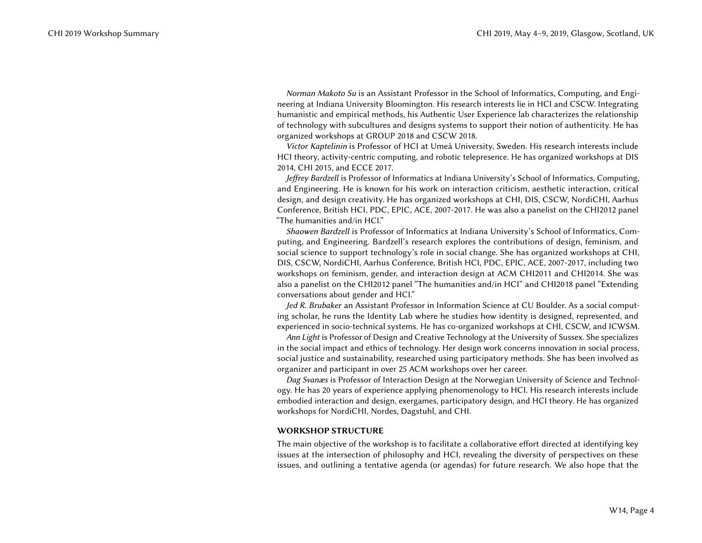Norman Makoto Su is an Assistant Professor in the School of Informatics, Computing, and Engineering at Indiana University Bloomington. His research interests lie in HCI and CSCW. Integrating humanistic and empirical methods, his Authentic User Experience lab characterizes the relationship of technology with subcultures and designs systems to support their notion of authenticity. He has organized workshops at GROUP 2018 and CSCW 2018.

Victor Kaptelinin is Professor of HCI at Umeå University, Sweden. His research interests include HCI theory, activity-centric computing, and robotic telepresence. He has organized workshops at DIS 2014, CHI 2015, and ECCE 2017.

Jeffrey Bardzell is Professor of Informatics at Indiana University's School of Informatics, Computing, and Engineering. He is known for his work on interaction criticism, aesthetic interaction, critical design, and design creativity. He has organized workshops at CHI, DIS, CSCW, NordiCHI, Aarhus Conference, British HCI, PDC, EPIC, ACE, 2007-2017. He was also a panelist on the CHI2012 panel "The humanities and/in HCI."

Shaowen Bardzell is Professor of Informatics at Indiana University's School of Informatics, Computing, and Engineering. Bardzell's research explores the contributions of design, feminism, and social science to support technology's role in social change. She has organized workshops at CHI, DIS, CSCW, NordiCHI, Aarhus Conference, British HCI, PDC, EPIC, ACE, 2007-2017, including two workshops on feminism, gender, and interaction design at ACM CHI2011 and CHI2014. She was also a panelist on the CHI2012 panel "The humanities and/in HCI" and CHI2018 panel "Extending conversations about gender and HCI."

Jed R. Brubaker an Assistant Professor in Information Science at CU Boulder. As a social computing scholar, he runs the Identity Lab where he studies how identity is designed, represented, and experienced in socio-technical systems. He has co-organized workshops at CHI, CSCW, and ICWSM.

Ann Light is Professor of Design and Creative Technology at the University of Sussex. She specializes in the social impact and ethics of technology. Her design work concerns innovation in social process, social justice and sustainability, researched using participatory methods. She has been involved as organizer and participant in over 25 ACM workshops over her career.

Dag Svanæs is Professor of Interaction Design at the Norwegian University of Science and Technology. He has 20 years of experience applying phenomenology to HCI. His research interests include embodied interaction and design, exergames, participatory design, and HCI theory. He has organized workshops for NordiCHI, Nordes, Dagstuhl, and CHI.

#### WORKSHOP STRUCTURE

The main objective of the workshop is to facilitate a collaborative effort directed at identifying key issues at the intersection of philosophy and HCI, revealing the diversity of perspectives on these issues, and outlining a tentative agenda (or agendas) for future research. We also hope that the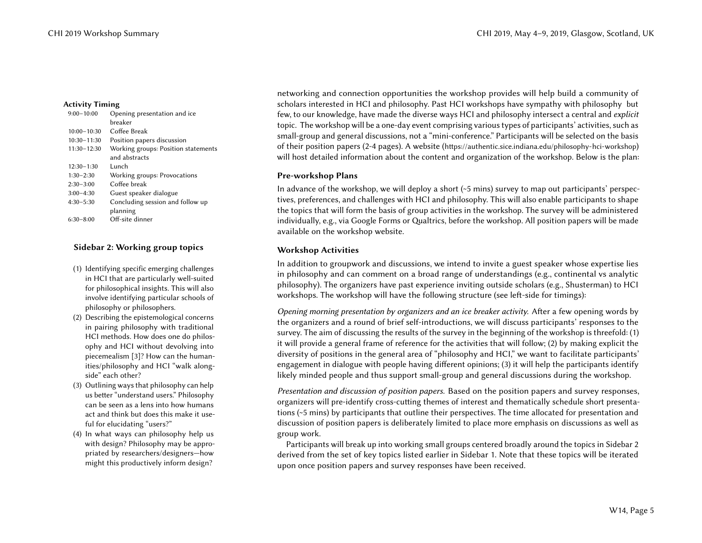| $9:00 - 10:00$  | Opening presentation and ice        |
|-----------------|-------------------------------------|
|                 | hreaker                             |
| $10:00 - 10:30$ | Coffee Break                        |
| $10:30 - 11:30$ | Position papers discussion          |
| $11:30 - 12:30$ | Working groups: Position statements |
|                 | and abstracts                       |
| $12:30 - 1:30$  | Lunch                               |
| $1:30-2:30$     | Working groups: Provocations        |
| $2:30-3:00$     | Coffee break                        |
| $3:00-4:30$     | Guest speaker dialogue              |
| $4:30 - 5:30$   | Concluding session and follow up    |
|                 | planning                            |
| $6:30-8:00$     | Off-site dinner                     |
|                 |                                     |

### Sidebar 2: Working group topics

- (1) Identifying specific emerging challenges in HCI that are particularly well-suited for philosophical insights. This will also involve identifying particular schools of philosophy or philosophers.
- (2) Describing the epistemological concerns in pairing philosophy with traditional HCI methods. How does one do philosophy and HCI without devolving into piecemealism [\[3\]](#page-6-8)? How can the humanities/philosophy and HCI "walk alongside" each other?
- (3) Outlining ways that philosophy can help us better "understand users." Philosophy can be seen as a lens into how humans act and think but does this make it useful for elucidating "users?"
- (4) In what ways can philosophy help us with design? Philosophy may be appropriated by researchers/designers—how might this productively inform design?

networking and connection opportunities the workshop provides will help build a community of Activity Timing scholars interested in HCI and philosophy. Past HCI workshops have sympathy with philosophy but few, to our knowledge, have made the diverse ways HCI and philosophy intersect a central and explicit topic. The workshop will be a one-day event comprising various types of participants' activities, such as small-group and general discussions, not a "mini-conference." Participants will be selected on the basis of their position papers (2-4 pages). A website (<https://authentic.sice.indiana.edu/philosophy-hci-workshop>) will host detailed information about the content and organization of the workshop. Below is the plan:

#### <span id="page-4-0"></span>Pre-workshop Plans

In advance of the workshop, we will deploy a short  $(\sim 5 \text{ mins})$  survey to map out participants' perspectives, preferences, and challenges with HCI and philosophy. This will also enable participants to shape the topics that will form the basis of group activities in the workshop. The survey will be administered individually, e.g., via Google Forms or Qualtrics, before the workshop. All position papers will be made available on the workshop website.

### Workshop Activities

In addition to groupwork and discussions, we intend to invite a guest speaker whose expertise lies in philosophy and can comment on a broad range of understandings (e.g., continental vs analytic philosophy). The organizers have past experience inviting outside scholars (e.g., Shusterman) to HCI workshops. The workshop will have the following structure (see left-side for timings):

Opening morning presentation by organizers and an ice breaker activity. After a few opening words by the organizers and a round of brief self-introductions, we will discuss participants' responses to the survey. The aim of discussing the results of the survey in the beginning of the workshop is threefold: (1) it will provide a general frame of reference for the activities that will follow; (2) by making explicit the diversity of positions in the general area of "philosophy and HCI," we want to facilitate participants' engagement in dialogue with people having different opinions; (3) it will help the participants identify likely minded people and thus support small-group and general discussions during the workshop.

Presentation and discussion of position papers. Based on the position papers and survey responses, organizers will pre-identify cross-cutting themes of interest and thematically schedule short presentations (~5 mins) by participants that outline their perspectives. The time allocated for presentation and discussion of position papers is deliberately limited to place more emphasis on discussions as well as group work.

Participants will break up into working small groups centered broadly around the topics in Sidebar [2](#page-4-0) derived from the set of key topics listed earlier in Sidebar [1.](#page-1-0) Note that these topics will be iterated upon once position papers and survey responses have been received.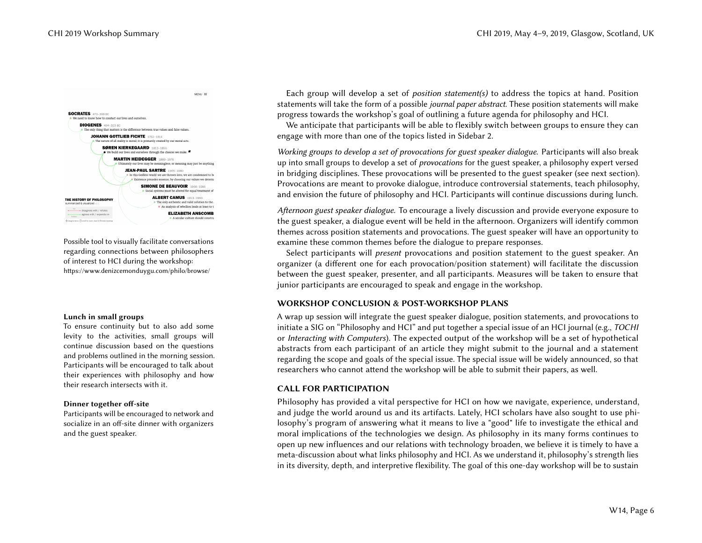$MENU \equiv$ 



Possible tool to visually facilitate conversations regarding connections between philosophers of interest to HCI during the workshop: <https://www.denizcemonduygu.com/philo/browse/>

#### Lunch in small groups

To ensure continuity but to also add some levity to the activities, small groups will continue discussion based on the questions and problems outlined in the morning session. Participants will be encouraged to talk about their experiences with philosophy and how their research intersects with it.

#### Dinner together off-site

Participants will be encouraged to network and socialize in an off-site dinner with organizers and the guest speaker.

Each group will develop a set of *position statement(s)* to address the topics at hand. Position statements will take the form of a possible journal paper abstract. These position statements will make progress towards the workshop's goal of outlining a future agenda for philosophy and HCI.

We anticipate that participants will be able to flexibly switch between groups to ensure they can engage with more than one of the topics listed in Sidebar [2.](#page-4-0)

Working groups to develop a set of provocations for guest speaker dialogue. Participants will also break up into small groups to develop a set of provocations for the guest speaker, a philosophy expert versed in bridging disciplines. These provocations will be presented to the guest speaker (see next section). Provocations are meant to provoke dialogue, introduce controversial statements, teach philosophy, and envision the future of philosophy and HCI. Participants will continue discussions during lunch.

Afternoon guest speaker dialogue. To encourage a lively discussion and provide everyone exposure to the guest speaker, a dialogue event will be held in the afternoon. Organizers will identify common themes across position statements and provocations. The guest speaker will have an opportunity to examine these common themes before the dialogue to prepare responses.

Select participants will *present* provocations and position statement to the guest speaker. An organizer (a different one for each provocation/position statement) will facilitate the discussion between the guest speaker, presenter, and all participants. Measures will be taken to ensure that junior participants are encouraged to speak and engage in the workshop.

#### WORKSHOP CONCLUSION & POST-WORKSHOP PLANS

A wrap up session will integrate the guest speaker dialogue, position statements, and provocations to initiate a SIG on "Philosophy and HCI" and put together a special issue of an HCI journal (e.g., TOCHI or Interacting with Computers). The expected output of the workshop will be a set of hypothetical abstracts from each participant of an article they might submit to the journal and a statement regarding the scope and goals of the special issue. The special issue will be widely announced, so that researchers who cannot attend the workshop will be able to submit their papers, as well.

# CALL FOR PARTICIPATION

Philosophy has provided a vital perspective for HCI on how we navigate, experience, understand, and judge the world around us and its artifacts. Lately, HCI scholars have also sought to use philosophy's program of answering what it means to live a "good" life to investigate the ethical and moral implications of the technologies we design. As philosophy in its many forms continues to open up new influences and our relations with technology broaden, we believe it is timely to have a meta-discussion about what links philosophy and HCI. As we understand it, philosophy's strength lies in its diversity, depth, and interpretive flexibility. The goal of this one-day workshop will be to sustain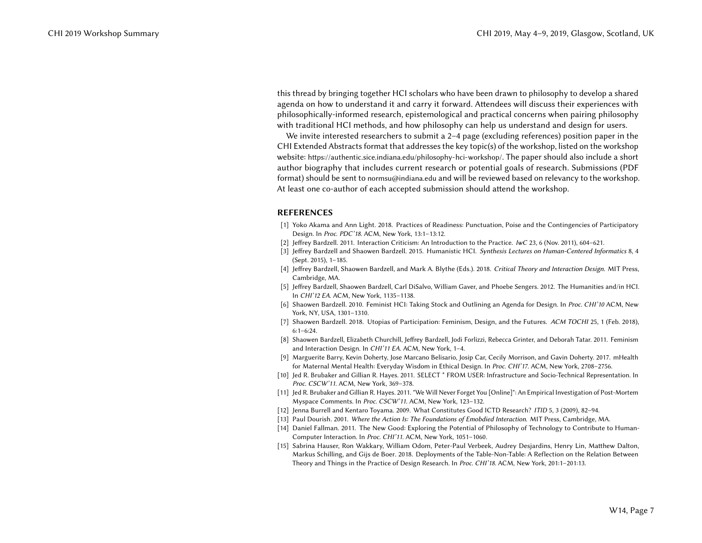this thread by bringing together HCI scholars who have been drawn to philosophy to develop a shared agenda on how to understand it and carry it forward. Attendees will discuss their experiences with philosophically-informed research, epistemological and practical concerns when pairing philosophy with traditional HCI methods, and how philosophy can help us understand and design for users.

We invite interested researchers to submit a 2–4 page (excluding references) position paper in the CHI Extended Abstracts format that addresses the key topic(s) of the workshop, listed on the workshop website: <https://authentic.sice.indiana.edu/philosophy-hci-workshop/>. The paper should also include a short author biography that includes current research or potential goals of research. Submissions (PDF format) should be sent to normsu@indiana.edu and will be reviewed based on relevancy to the workshop. At least one co-author of each accepted submission should attend the workshop.

#### REFERENCES

- <span id="page-6-7"></span>[1] Yoko Akama and Ann Light. 2018. Practices of Readiness: Punctuation, Poise and the Contingencies of Participatory Design. In Proc. PDC'18. ACM, New York, 13:1–13:12.
- <span id="page-6-2"></span>[2] Jeffrey Bardzell. 2011. Interaction Criticism: An Introduction to the Practice. IwC 23, 6 (Nov. 2011), 604–621.
- <span id="page-6-8"></span>[3] Jeffrey Bardzell and Shaowen Bardzell. 2015. Humanistic HCI. Synthesis Lectures on Human-Centered Informatics 8, 4 (Sept. 2015), 1–185.
- <span id="page-6-14"></span>[4] Jeffrey Bardzell, Shaowen Bardzell, and Mark A. Blythe (Eds.). 2018. Critical Theory and Interaction Design. MIT Press, Cambridge, MA.
- <span id="page-6-12"></span>[5] Jeffrey Bardzell, Shaowen Bardzell, Carl DiSalvo, William Gaver, and Phoebe Sengers. 2012. The Humanities and/in HCI. In CHI'12 EA. ACM, New York, 1135–1138.
- <span id="page-6-3"></span>[6] Shaowen Bardzell. 2010. Feminist HCI: Taking Stock and Outlining an Agenda for Design. In Proc. CHI'10 ACM, New York, NY, USA, 1301–1310.
- <span id="page-6-4"></span>[7] Shaowen Bardzell. 2018. Utopias of Participation: Feminism, Design, and the Futures. ACM TOCHI 25, 1 (Feb. 2018), 6:1–6:24.
- <span id="page-6-11"></span>[8] Shaowen Bardzell, Elizabeth Churchill, Jeffrey Bardzell, Jodi Forlizzi, Rebecca Grinter, and Deborah Tatar. 2011. Feminism and Interaction Design. In CHI'11 EA. ACM, New York, 1–4.
- <span id="page-6-6"></span>[9] Marguerite Barry, Kevin Doherty, Jose Marcano Belisario, Josip Car, Cecily Morrison, and Gavin Doherty. 2017. mHealth for Maternal Mental Health: Everyday Wisdom in Ethical Design. In Proc. CHI'17. ACM, New York, 2708–2756.
- <span id="page-6-9"></span>[10] Jed R. Brubaker and Gillian R. Hayes. 2011. SELECT \* FROM USER: Infrastructure and Socio-Technical Representation. In Proc. CSCW'11. ACM, New York, 369–378.
- <span id="page-6-10"></span>[11] Jed R. Brubaker and Gillian R. Hayes. 2011. "We Will Never Forget You [Online]": An Empirical Investigation of Post-Mortem Myspace Comments. In Proc. CSCW'11. ACM, New York, 123–132.
- <span id="page-6-5"></span>[12] Jenna Burrell and Kentaro Toyama. 2009. What Constitutes Good ICTD Research? ITID 5, 3 (2009), 82–94.
- <span id="page-6-0"></span>[13] Paul Dourish. 2001. Where the Action Is: The Foundations of Emobdied Interaction. MIT Press, Cambridge, MA.
- <span id="page-6-1"></span>[14] Daniel Fallman. 2011. The New Good: Exploring the Potential of Philosophy of Technology to Contribute to Human-Computer Interaction. In Proc. CHI'11. ACM, New York, 1051–1060.
- <span id="page-6-13"></span>[15] Sabrina Hauser, Ron Wakkary, William Odom, Peter-Paul Verbeek, Audrey Desjardins, Henry Lin, Matthew Dalton, Markus Schilling, and Gijs de Boer. 2018. Deployments of the Table-Non-Table: A Reflection on the Relation Between Theory and Things in the Practice of Design Research. In Proc. CHI'18. ACM, New York, 201:1–201:13.